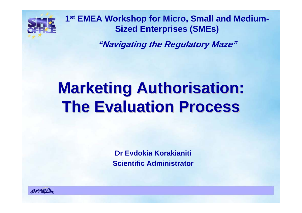

**1st EMEA Workshop for Micro, Small and Medium-Sized Enterprises (SMEs)**

**"Navigating the Regulatory Maze"**

# **Marketing Authorisation: The Evaluation Process The Evaluation Process**

**Dr Evdokia Korakianiti Scientific Administrator**

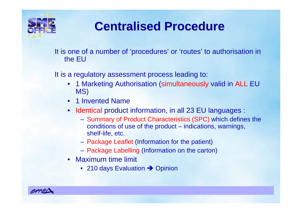

## **Centralised Procedure Centralised Procedure**

It is one of a number of 'procedures' or 'routes' to authorisation in the EU

It is a regulatory assessment process leading to:

- 1 Marketing Authorisation (simultaneously valid in ALL EU MS)
- 1 Invented Name
- Identical product information, in all 23 EU languages :
	- Summary of Product Characteristics (SPC) which defines the conditions of use of the product – indications, warnings, shelf-life, etc.
	- Package Leaflet (Information for the patient)
	- Package Labelling (Information on the carton)
- Maximum time limit
	- 210 days Evaluation  $\rightarrow$  Opinion

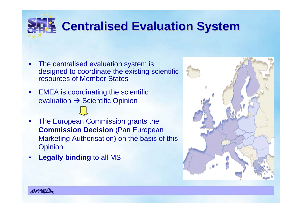## **Centralised Evaluation System Centralised Evaluation System**

- • The centralised evaluation system is designed to coordinate the existing scientific resources of Member States
- EMEA is coordinating the scientific evaluation  $\rightarrow$  Scientific Opinion
- $\bullet$  The European Commission grants the **Commission Decision** (Pan European Marketing Authorisation) on the basis of this **Opinion**
- •**Legally binding** to all MS



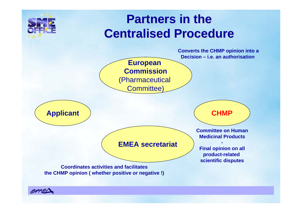

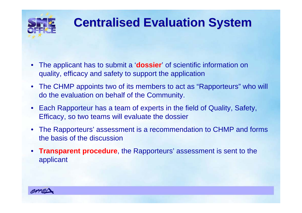

## **Centralised Evaluation System Centralised Evaluation System**

- • The applicant has to submit a '**dossier**' of scientific information on quality, efficacy and safety to support the application
- The CHMP appoints two of its members to act as "Rapporteurs" who will do the evaluation on behalf of the Community.
- Each Rapporteur has a team of experts in the field of Quality, Safety, Efficacy, so two teams will evaluate the dossier
- The Rapporteurs' assessment is a recommendation to CHMP and forms the basis of the discussion
- • **Transparent procedure**, the Rapporteurs' assessment is sent to the applicant

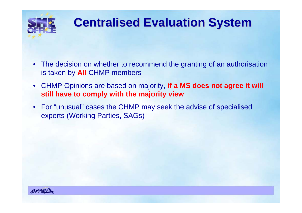

## **Centralised Evaluation System Centralised Evaluation System**

- $\bullet$  The decision on whether to recommend the granting of an authorisation is taken by **All** CHMP members
- $\bullet$  CHMP Opinions are based on majority, **if a MS does not agree it will still have to comply with the majority view**
- For "unusual" cases the CHMP may seek the advise of specialised experts (Working Parties, SAGs)

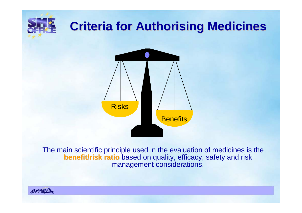# **Criteria for Authorising Medicines Criteria for Authorising Medicines**



The main scientific principle used in the evaluation of medicines is the **benefit/risk ratio** based on quality, efficacy, safety and risk management considerations.

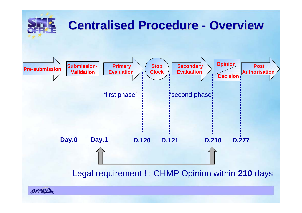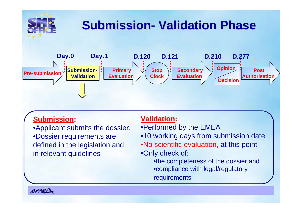

### **Submission Submission:**

•Applicant submits the dossier. •Dossier requirements are defined in the legislation and in relevant guidelines

### **Validation Validation:**

- •Performed by the EMEA
- •10 working days from submission date
- •No scientific evaluation, at this point •Only check of:

•the completeness of the dossier and •compliance with legal/regulatory requirements

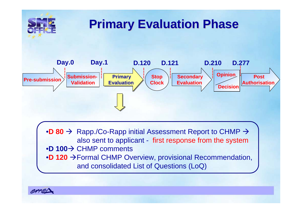

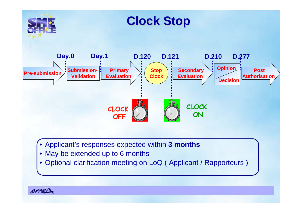

- Applicant's responses expected within **3 months**
- May be extended up to 6 months
- Optional clarification meeting on LoQ ( Applicant / Rapporteurs )

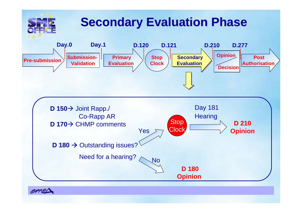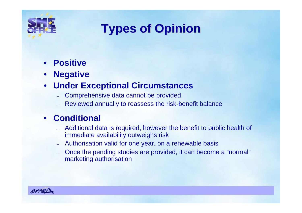

## **Types of Opinion Types of Opinion**

- **Positive**
- **Negative**

#### •**Under Exceptional Circumstances**

- Comprehensive data cannot be provided
- Reviewed annually to reassess the risk-benefit balance

### • **Conditional**

- Additional data is required, however the benefit to public health of immediate availability outweighs risk
- Authorisation valid for one year, on a renewable basis
- Once the pending studies are provided, it can become a "normal" marketing authorisation

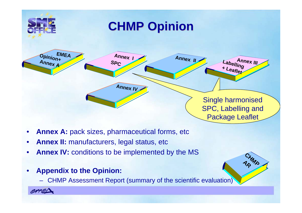

CHMA<br>AR MA

- •**Annex A:** pack sizes, pharmaceutical forms, etc
- •**Annex II:** manufacturers, legal status, etc
- •**Annex IV:** conditions to be implemented by the MS
- $\bullet$  **Appendix to the Opinion:** 
	- CHMP Assessment Report (summary of the scientific evaluation)

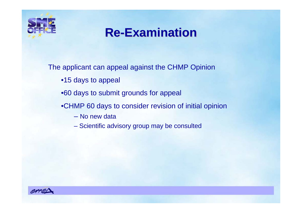

### **Re-Examination Examination**

The applicant can appeal against the CHMP Opinion

- •15 days to appeal
- •60 days to submit grounds for appeal
- •CHMP 60 days to consider revision of initial opinion
	- No new data
	- Scientific advisory group may be consulted

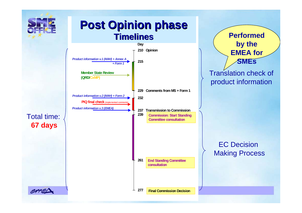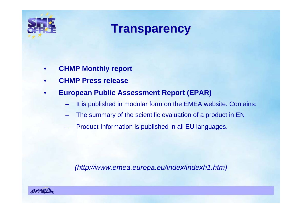

### **Transparency Transparency**

- •**CHMP Monthly report**
- •**CHMP Press release**
- • **European Public Assessment Report (EPAR)**
	- It is published in modular form on the EMEA website. Contains:
	- –The summary of the scientific evaluation of a product in EN
	- –Product Information is published in all EU languages.

*(http://www.emea.europa.eu/index/indexh1.htm)*

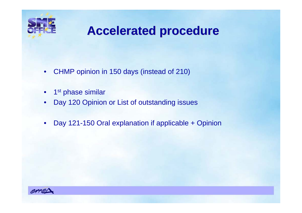

### **Accelerated procedure Accelerated procedure**

- CHMP opinion in 150 days (instead of 210)
- $\bullet$   $\,$  1 $^{\rm st}$  phase similar
- $\bullet$ Day 120 Opinion or List of outstanding issues
- $\bullet$ Day 121-150 Oral explanation if applicable + Opinion

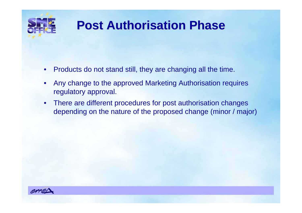

## **Post Authorisation Phase Post Authorisation Phase**

- •Products do not stand still, they are changing all the time.
- • Any change to the approved Marketing Authorisation requires regulatory approval.
- • There are different procedures for post authorisation changes depending on the nature of the proposed change (minor / major)

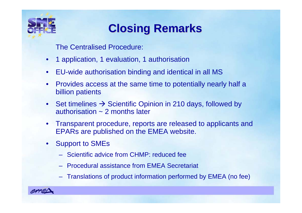

### **Closing Remarks Closing Remarks**

The Centralised Procedure:

- •1 application, 1 evaluation, 1 authorisation
- $\bullet$ EU-wide authorisation binding and identical in all MS
- $\bullet$  Provides access at the same time to potentially nearly half a billion patients
- $\bullet$ Set timelines  $\rightarrow$  Scientific Opinion in 210 days, followed by authorisation ~ 2 months later
- • Transparent procedure, reports are released to applicants and EPARs are published on the EMEA website.
- • Support to SMEs
	- Scientific advice from CHMP: reduced fee
	- Procedural assistance from EMEA Secretariat
	- Translations of product information performed by EMEA (no fee)